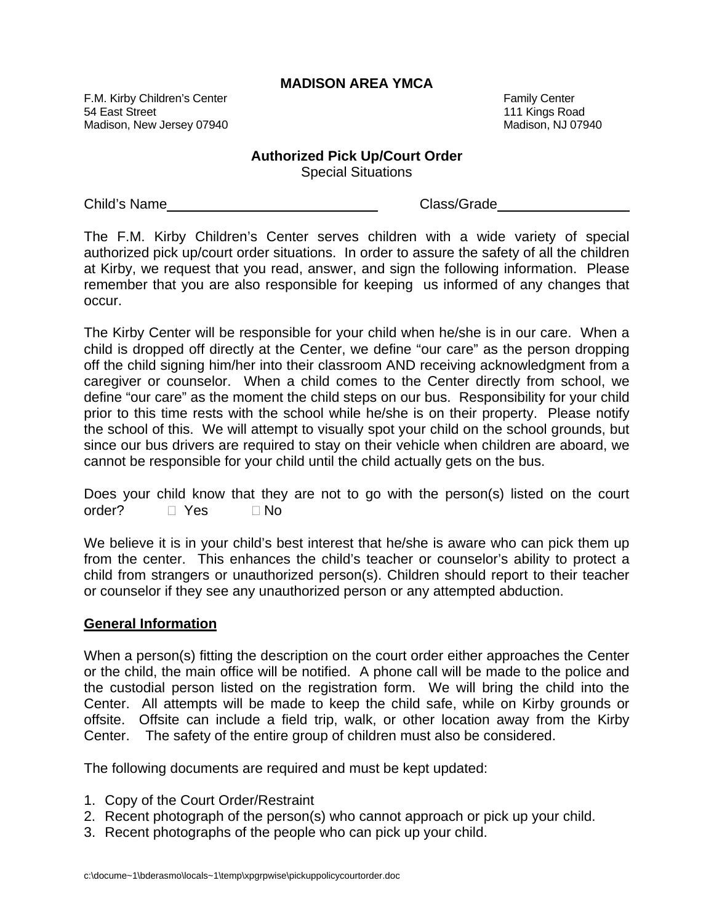## **MADISON AREA YMCA**

F.M. Kirby Children's Center Family Center Family Center Family Center Family Center 54 East Street 111 Kings Road Madison, New Jersey 07940 Madison, NJ 07940

## **Authorized Pick Up/Court Order**

Special Situations

Child's Name Chass/Grade

The F.M. Kirby Children's Center serves children with a wide variety of special authorized pick up/court order situations. In order to assure the safety of all the children at Kirby, we request that you read, answer, and sign the following information. Please remember that you are also responsible for keeping us informed of any changes that occur.

The Kirby Center will be responsible for your child when he/she is in our care. When a child is dropped off directly at the Center, we define "our care" as the person dropping off the child signing him/her into their classroom AND receiving acknowledgment from a caregiver or counselor. When a child comes to the Center directly from school, we define "our care" as the moment the child steps on our bus. Responsibility for your child prior to this time rests with the school while he/she is on their property. Please notify the school of this. We will attempt to visually spot your child on the school grounds, but since our bus drivers are required to stay on their vehicle when children are aboard, we cannot be responsible for your child until the child actually gets on the bus.

|              |  |  |      |  |  |  | Does your child know that they are not to go with the person(s) listed on the court |  |  |
|--------------|--|--|------|--|--|--|-------------------------------------------------------------------------------------|--|--|
| order? □ Yes |  |  | ⊟ No |  |  |  |                                                                                     |  |  |

We believe it is in your child's best interest that he/she is aware who can pick them up from the center. This enhances the child's teacher or counselor's ability to protect a child from strangers or unauthorized person(s). Children should report to their teacher or counselor if they see any unauthorized person or any attempted abduction.

## **General Information**

When a person(s) fitting the description on the court order either approaches the Center or the child, the main office will be notified. A phone call will be made to the police and the custodial person listed on the registration form. We will bring the child into the Center. All attempts will be made to keep the child safe, while on Kirby grounds or offsite. Offsite can include a field trip, walk, or other location away from the Kirby Center. The safety of the entire group of children must also be considered.

The following documents are required and must be kept updated:

- 1. Copy of the Court Order/Restraint
- 2. Recent photograph of the person(s) who cannot approach or pick up your child.
- 3. Recent photographs of the people who can pick up your child.